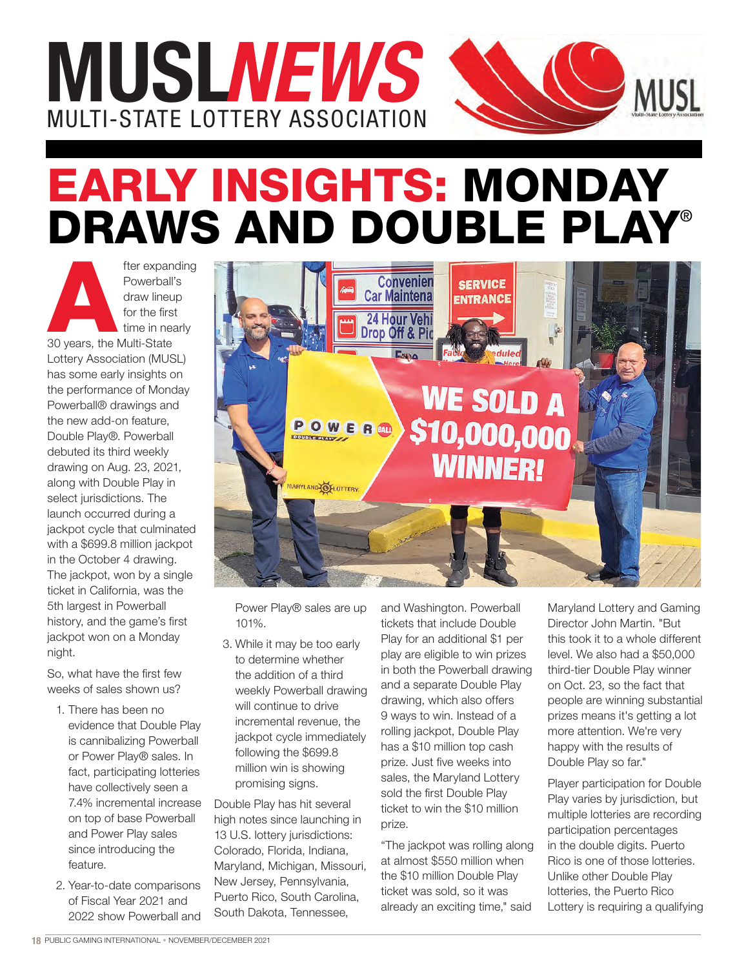

## EARLY INSIGHTS: MONDAY DRAWS AND DOUBLE PLAY®

fter expanding<br>
Powerball's<br>
draw lineup<br>
for the first<br>
time in nearly<br>
30 years, the Multi-State Powerball's draw lineup for the first time in nearly Lottery Association (MUSL) has some early insights on the performance of Monday Powerball® drawings and the new add-on feature, Double Play®. Powerball debuted its third weekly drawing on Aug. 23, 2021, along with Double Play in select jurisdictions. The launch occurred during a jackpot cycle that culminated with a \$699.8 million jackpot in the October 4 drawing. The jackpot, won by a single ticket in California, was the 5th largest in Powerball history, and the game's first jackpot won on a Monday night.

So, what have the first few weeks of sales shown us?

- 1. There has been no evidence that Double Play is cannibalizing Powerball or Power Play® sales. In fact, participating lotteries have collectively seen a 7.4% incremental increase on top of base Powerball and Power Play sales since introducing the feature.
- 2. Year-to-date comparisons of Fiscal Year 2021 and 2022 show Powerball and



Power Play® sales are up 101%.

3. While it may be too early to determine whether the addition of a third weekly Powerball drawing will continue to drive incremental revenue, the jackpot cycle immediately following the \$699.8 million win is showing promising signs.

Double Play has hit several high notes since launching in 13 U.S. lottery jurisdictions: Colorado, Florida, Indiana, Maryland, Michigan, Missouri, New Jersey, Pennsylvania, Puerto Rico, South Carolina, South Dakota, Tennessee,

and Washington. Powerball tickets that include Double Play for an additional \$1 per play are eligible to win prizes in both the Powerball drawing and a separate Double Play drawing, which also offers 9 ways to win. Instead of a rolling jackpot, Double Play has a \$10 million top cash prize. Just five weeks into sales, the Maryland Lottery sold the first Double Play ticket to win the \$10 million prize.

"The jackpot was rolling along at almost \$550 million when the \$10 million Double Play ticket was sold, so it was already an exciting time," said

Maryland Lottery and Gaming Director John Martin. "But this took it to a whole different level. We also had a \$50,000 third-tier Double Play winner on Oct. 23, so the fact that people are winning substantial prizes means it's getting a lot more attention. We're very happy with the results of Double Play so far."

Player participation for Double Play varies by jurisdiction, but multiple lotteries are recording participation percentages in the double digits. Puerto Rico is one of those lotteries. Unlike other Double Play lotteries, the Puerto Rico Lottery is requiring a qualifying